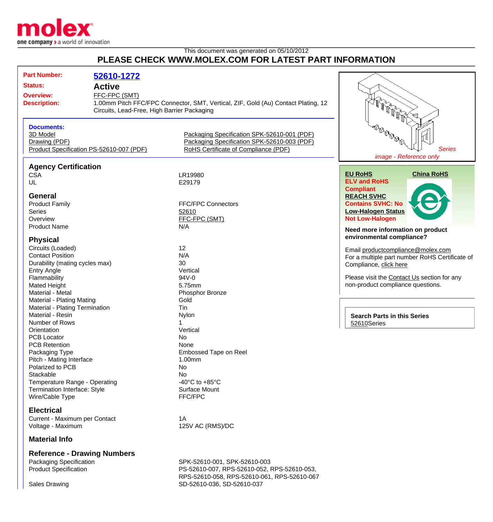

## This document was generated on 05/10/2012 **PLEASE CHECK WWW.MOLEX.COM FOR LATEST PART INFORMATION**

| <b>Part Number:</b>                                       | 52610-1272                                  |                                                                                   |                                                |
|-----------------------------------------------------------|---------------------------------------------|-----------------------------------------------------------------------------------|------------------------------------------------|
| <b>Status:</b>                                            | <b>Active</b>                               |                                                                                   |                                                |
| <b>Overview:</b>                                          | FFC-FPC (SMT)                               |                                                                                   |                                                |
| <b>Description:</b>                                       |                                             | 1.00mm Pitch FFC/FPC Connector, SMT, Vertical, ZIF, Gold (Au) Contact Plating, 12 |                                                |
|                                                           | Circuits, Lead-Free, High Barrier Packaging |                                                                                   |                                                |
|                                                           |                                             |                                                                                   |                                                |
|                                                           |                                             |                                                                                   |                                                |
| <b>Documents:</b><br>3D Model                             |                                             | Packaging Specification SPK-52610-001 (PDF)                                       | <b>BOOP</b>                                    |
|                                                           |                                             | Packaging Specification SPK-52610-003 (PDF)                                       |                                                |
| Drawing (PDF)<br>Product Specification PS-52610-007 (PDF) |                                             | RoHS Certificate of Compliance (PDF)                                              | <b>Series</b>                                  |
|                                                           |                                             |                                                                                   | image - Reference only                         |
|                                                           |                                             |                                                                                   |                                                |
| <b>Agency Certification</b>                               |                                             |                                                                                   |                                                |
| <b>CSA</b>                                                |                                             | LR19980                                                                           | <b>EU RoHS</b><br><b>China RoHS</b>            |
| UL                                                        |                                             | E29179                                                                            | <b>ELV and RoHS</b>                            |
|                                                           |                                             |                                                                                   | <b>Compliant</b>                               |
| <b>General</b>                                            |                                             |                                                                                   | <b>REACH SVHC</b>                              |
| <b>Product Family</b>                                     |                                             | <b>FFC/FPC Connectors</b>                                                         | <b>Contains SVHC: No</b>                       |
| <b>Series</b>                                             |                                             | 52610                                                                             | <b>Low-Halogen Status</b>                      |
| Overview                                                  |                                             | FFC-FPC (SMT)                                                                     | <b>Not Low-Halogen</b>                         |
| <b>Product Name</b>                                       |                                             | N/A                                                                               | Need more information on product               |
|                                                           |                                             |                                                                                   | environmental compliance?                      |
| <b>Physical</b>                                           |                                             |                                                                                   |                                                |
| Circuits (Loaded)                                         |                                             | 12                                                                                | Email productcompliance@molex.com              |
| <b>Contact Position</b>                                   |                                             | N/A                                                                               | For a multiple part number RoHS Certificate of |
| Durability (mating cycles max)                            |                                             | 30                                                                                | Compliance, click here                         |
| <b>Entry Angle</b>                                        |                                             | Vertical                                                                          |                                                |
| Flammability                                              |                                             | 94V-0                                                                             | Please visit the Contact Us section for any    |
| <b>Mated Height</b>                                       |                                             | 5.75mm                                                                            | non-product compliance questions.              |
| Material - Metal                                          |                                             | Phosphor Bronze                                                                   |                                                |
| Material - Plating Mating                                 |                                             | Gold                                                                              |                                                |
| Material - Plating Termination                            |                                             | Tin                                                                               |                                                |
| Material - Resin                                          |                                             | Nylon                                                                             | <b>Search Parts in this Series</b>             |
| Number of Rows                                            |                                             |                                                                                   | 52610Series                                    |
| Orientation                                               |                                             | Vertical                                                                          |                                                |
| <b>PCB Locator</b><br><b>PCB Retention</b>                |                                             | No                                                                                |                                                |
|                                                           |                                             | None                                                                              |                                                |
| Packaging Type                                            |                                             | Embossed Tape on Reel                                                             |                                                |
| Pitch - Mating Interface                                  |                                             | 1.00mm                                                                            |                                                |
| Polarized to PCB<br>Stackable                             |                                             | No                                                                                |                                                |
| Temperature Range - Operating                             |                                             | No<br>-40 $^{\circ}$ C to +85 $^{\circ}$ C                                        |                                                |
| Termination Interface: Style                              |                                             |                                                                                   |                                                |
|                                                           |                                             | <b>Surface Mount</b>                                                              |                                                |
| Wire/Cable Type                                           |                                             | FFC/FPC                                                                           |                                                |
| <b>Electrical</b>                                         |                                             |                                                                                   |                                                |
| Current - Maximum per Contact                             |                                             | 1A                                                                                |                                                |
| Voltage - Maximum                                         |                                             | 125V AC (RMS)/DC                                                                  |                                                |
|                                                           |                                             |                                                                                   |                                                |
| <b>Material Info</b>                                      |                                             |                                                                                   |                                                |

**Reference - Drawing Numbers**

Packaging Specification The SPK-52610-001, SPK-52610-003<br>Product Specification Specification SPS-52610-007, RPS-52610-052, I PS-52610-007, RPS-52610-052, RPS-52610-053, RPS-52610-058, RPS-52610-061, RPS-52610-067 Sales Drawing Sales Drawing SD-52610-036, SD-52610-037